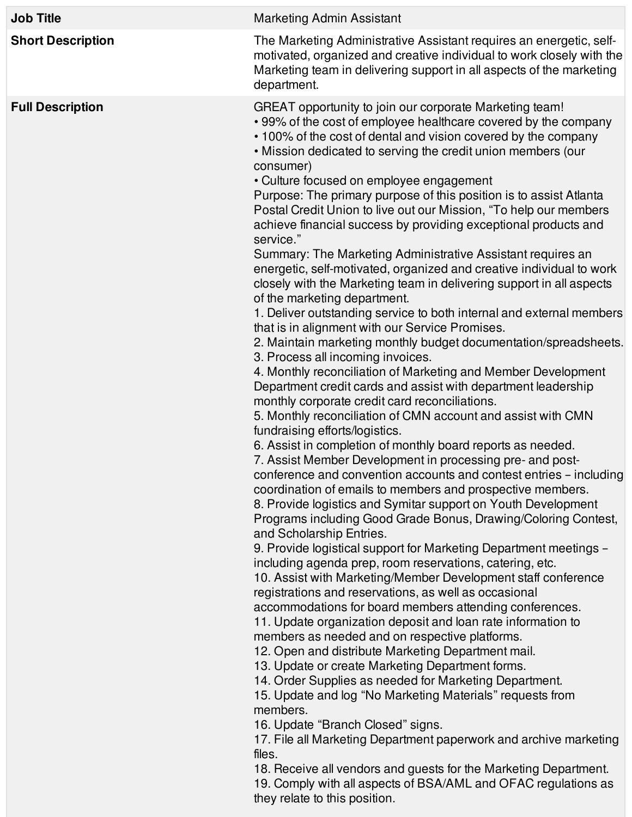| <b>Job Title</b>         | Marketing Admin Assistant                                                                                                                                                                                                                                                                                                                                                                                                                                                                                                                                                                                                                                                                                                                                                                                                                                                                                                                                                                                                                                                                                                                                                                                                                                                                                                                                                                                                                                                                                                                                                                                                                                                                                                                                                                                                                                                                                                                                                                                                                                                                                                                                                                                                                                                                                                                                                                                                                                                                                                                                                                                                                                                                                                                |
|--------------------------|------------------------------------------------------------------------------------------------------------------------------------------------------------------------------------------------------------------------------------------------------------------------------------------------------------------------------------------------------------------------------------------------------------------------------------------------------------------------------------------------------------------------------------------------------------------------------------------------------------------------------------------------------------------------------------------------------------------------------------------------------------------------------------------------------------------------------------------------------------------------------------------------------------------------------------------------------------------------------------------------------------------------------------------------------------------------------------------------------------------------------------------------------------------------------------------------------------------------------------------------------------------------------------------------------------------------------------------------------------------------------------------------------------------------------------------------------------------------------------------------------------------------------------------------------------------------------------------------------------------------------------------------------------------------------------------------------------------------------------------------------------------------------------------------------------------------------------------------------------------------------------------------------------------------------------------------------------------------------------------------------------------------------------------------------------------------------------------------------------------------------------------------------------------------------------------------------------------------------------------------------------------------------------------------------------------------------------------------------------------------------------------------------------------------------------------------------------------------------------------------------------------------------------------------------------------------------------------------------------------------------------------------------------------------------------------------------------------------------------------|
| <b>Short Description</b> | The Marketing Administrative Assistant requires an energetic, self-<br>motivated, organized and creative individual to work closely with the<br>Marketing team in delivering support in all aspects of the marketing<br>department.                                                                                                                                                                                                                                                                                                                                                                                                                                                                                                                                                                                                                                                                                                                                                                                                                                                                                                                                                                                                                                                                                                                                                                                                                                                                                                                                                                                                                                                                                                                                                                                                                                                                                                                                                                                                                                                                                                                                                                                                                                                                                                                                                                                                                                                                                                                                                                                                                                                                                                      |
| <b>Full Description</b>  | GREAT opportunity to join our corporate Marketing team!<br>• 99% of the cost of employee healthcare covered by the company<br>• 100% of the cost of dental and vision covered by the company<br>. Mission dedicated to serving the credit union members (our<br>consumer)<br>• Culture focused on employee engagement<br>Purpose: The primary purpose of this position is to assist Atlanta<br>Postal Credit Union to live out our Mission, "To help our members<br>achieve financial success by providing exceptional products and<br>service."<br>Summary: The Marketing Administrative Assistant requires an<br>energetic, self-motivated, organized and creative individual to work<br>closely with the Marketing team in delivering support in all aspects<br>of the marketing department.<br>1. Deliver outstanding service to both internal and external members<br>that is in alignment with our Service Promises.<br>2. Maintain marketing monthly budget documentation/spreadsheets.<br>3. Process all incoming invoices.<br>4. Monthly reconciliation of Marketing and Member Development<br>Department credit cards and assist with department leadership<br>monthly corporate credit card reconciliations.<br>5. Monthly reconciliation of CMN account and assist with CMN<br>fundraising efforts/logistics.<br>6. Assist in completion of monthly board reports as needed.<br>7. Assist Member Development in processing pre- and post-<br>conference and convention accounts and contest entries - including<br>coordination of emails to members and prospective members.<br>8. Provide logistics and Symitar support on Youth Development<br>Programs including Good Grade Bonus, Drawing/Coloring Contest,<br>and Scholarship Entries.<br>9. Provide logistical support for Marketing Department meetings -<br>including agenda prep, room reservations, catering, etc.<br>10. Assist with Marketing/Member Development staff conference<br>registrations and reservations, as well as occasional<br>accommodations for board members attending conferences.<br>11. Update organization deposit and loan rate information to<br>members as needed and on respective platforms.<br>12. Open and distribute Marketing Department mail.<br>13. Update or create Marketing Department forms.<br>14. Order Supplies as needed for Marketing Department.<br>15. Update and log "No Marketing Materials" requests from<br>members.<br>16. Update "Branch Closed" signs.<br>17. File all Marketing Department paperwork and archive marketing<br>files.<br>18. Receive all vendors and guests for the Marketing Department.<br>19. Comply with all aspects of BSA/AML and OFAC regulations as<br>they relate to this position. |